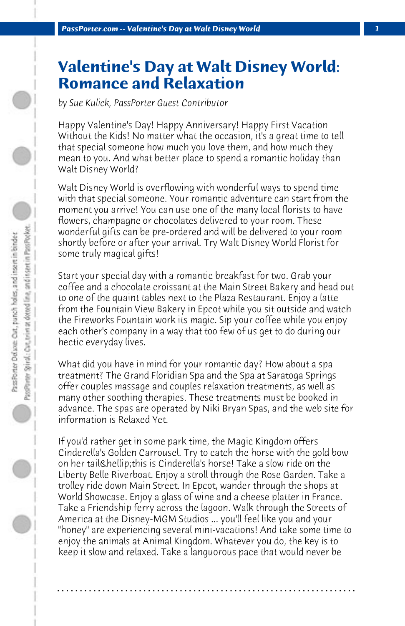## **Valentine's Day at Walt Disney World: Romance and Relaxation**

*by Sue Kulick, PassPorter Guest Contributor*

Happy Valentine's Day! Happy Anniversary! Happy First Vacation Without the Kids! No matter what the occasion, it's a great time to tell that special someone how much you love them, and how much they mean to you. And what better place to spend a romantic holiday than Walt Disney World?

Walt Disney World is overflowing with wonderful ways to spend time with that special someone. Your romantic adventure can start from the moment you arrive! You can use one of the many local florists to have flowers, champagne or chocolates delivered to your room. These wonderful gifts can be pre-ordered and will be delivered to your room shortly before or after your arrival. Try Walt Disney World Florist for some truly magical gifts!

Start your special day with a romantic breakfast for two. Grab your coffee and a chocolate croissant at the Main Street Bakery and head out to one of the quaint tables next to the Plaza Restaurant. Enjoy a latte from the Fountain View Bakery in Epcot while you sit outside and watch the Fireworks Fountain work its magic. Sip your coffee while you enjoy each other's company in a way that too few of us get to do during our hectic everyday lives.

What did you have in mind for your romantic day? How about a spa treatment? The Grand Floridian Spa and the Spa at Saratoga Springs offer couples massage and couples relaxation treatments, as well as many other soothing therapies. These treatments must be booked in advance. The spas are operated by Niki Bryan Spas, and the web site for information is Relaxed Yet.

If you'd rather get in some park time, the Magic Kingdom offers Cinderella's Golden Carrousel. Try to catch the horse with the gold bow on her tail…this is Cinderella's horse! Take a slow ride on the Liberty Belle Riverboat. Enjoy a stroll through the Rose Garden. Take a trolley ride down Main Street. In Epcot, wander through the shops at World Showcase. Enjoy a glass of wine and a cheese platter in France. Take a Friendship ferry across the lagoon. Walk through the Streets of America at the Disney-MGM Studios ... you'll feel like you and your "honey" are experiencing several mini-vacations! And take some time to enjoy the animals at Animal Kingdom. Whatever you do, the key is to keep it slow and relaxed. Take a languorous pace that would never be

**. . . . . . . . . . . . . . . . . . . . . . . . . . . . . . . . . . . . . . . . . . . . . . . . . . . . . . . . . . . . . . . . . .**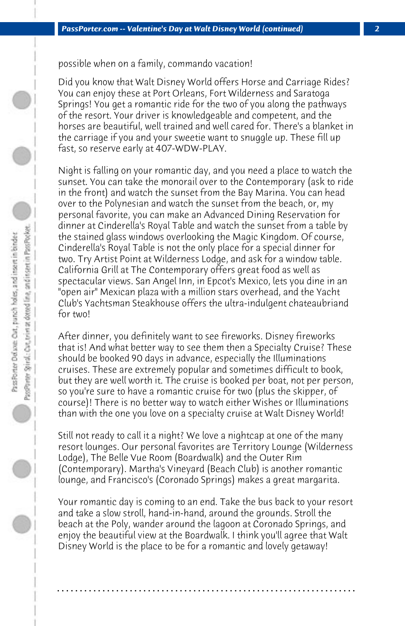possible when on a family, commando vacation!

Did you know that Walt Disney World offers Horse and Carriage Rides? You can enjoy these at Port Orleans, Fort Wilderness and Saratoga Springs! You get a romantic ride for the two of you along the pathways of the resort. Your driver is knowledgeable and competent, and the horses are beautiful, well trained and well cared for. There's a blanket in the carriage if you and your sweetie want to snuggle up. These fill up fast, so reserve early at 407-WDW-PLAY.

Night is falling on your romantic day, and you need a place to watch the sunset. You can take the monorail over to the Contemporary (ask to ride in the front) and watch the sunset from the Bay Marina. You can head over to the Polynesian and watch the sunset from the beach, or, my personal favorite, you can make an Advanced Dining Reservation for dinner at Cinderella's Royal Table and watch the sunset from a table by the stained glass windows overlooking the Magic Kingdom. Of course, Cinderella's Royal Table is not the only place for a special dinner for two. Try Artist Point at Wilderness Lodge, and ask for a window table. California Grill at The Contemporary offers great food as well as spectacular views. San Angel Inn, in Epcot's Mexico, lets you dine in an "open air" Mexican plaza with a million stars overhead, and the Yacht Club's Yachtsman Steakhouse offers the ultra-indulgent chateaubriand for two!

After dinner, you definitely want to see fireworks. Disney fireworks that is! And what better way to see them then a Specialty Cruise? These should be booked 90 days in advance, especially the Illuminations cruises. These are extremely popular and sometimes difficult to book, but they are well worth it. The cruise is booked per boat, not per person, so you're sure to have a romantic cruise for two (plus the skipper, of course)! There is no better way to watch either Wishes or Illuminations than with the one you love on a specialty cruise at Walt Disney World!

Still not ready to call it a night? We love a nightcap at one of the many resort lounges. Our personal favorites are Territory Lounge (Wilderness Lodge), The Belle Vue Room (Boardwalk) and the Outer Rim (Contemporary). Martha's Vineyard (Beach Club) is another romantic lounge, and Francisco's (Coronado Springs) makes a great margarita.

Your romantic day is coming to an end. Take the bus back to your resort and take a slow stroll, hand-in-hand, around the grounds. Stroll the beach at the Poly, wander around the lagoon at Coronado Springs, and enjoy the beautiful view at the Boardwalk. I think you'll agree that Walt Disney World is the place to be for a romantic and lovely getaway!

**. . . . . . . . . . . . . . . . . . . . . . . . . . . . . . . . . . . . . . . . . . . . . . . . . . . . . . . . . . . . . . . . . .**